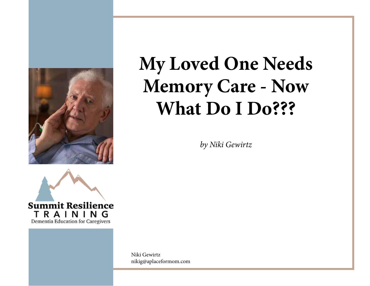

*by Niki Gewirtz*



Niki Gewirtz nikig@aplaceformom.com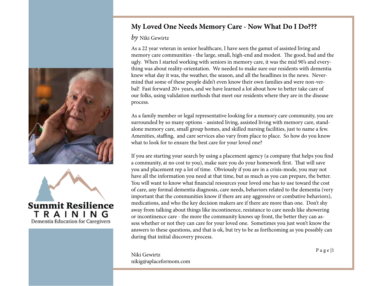



#### *by* Niki Gewirtz

As a 22 year veteran in senior healthcare, I have seen the gamut of assisted living and memory care communities - the large, small, high-end and modest. The good, bad and the ugly. When I started working with seniors in memory care, it was the mid 90's and everything was about reality-orientation. We needed to make sure our residents with dementia knew what day it was, the weather, the season, and all the headlines in the news. Nevermind that some of these people didn't even know their own families and were non-verbal! Fast forward 20+ years, and we have learned a lot about how to better take care of our folks, using validation methods that meet our residents where they are in the disease process.

As a family member or legal representative looking for a memory care community, you are surrounded by so many options - assisted living, assisted living with memory care, standalone memory care, small group homes, and skilled nursing facilities, just to name a few. Amenities, staffing, and care services also vary from place to place. So how do you know what to look for to ensure the best care for your loved one?

If you are starting your search by using a placement agency (a company that helps you find a community, at no cost to you), make sure you do your homework first. That will save you and placement rep a lot of time. Obviously if you are in a crisis-mode, you may not have all the information you need at that time, but as much as you can prepare, the better. You will want to know what financial resources your loved one has to use toward the cost of care, any formal dementia diagnosis, care needs, behaviors related to the dementia (very important that the communities know if there are any aggressive or combative behaviors), medications, and who the key decision makers are if there are more than one. Don't shy away from talking about things like incontinence, resistance to care needs like showering or incontinence care - the more the community knows up front, the better they can assess whether or not they can care for your loved one. Sometimes you just won't know the answers to these questions, and that is ok, but try to be as forthcoming as you possibly can during that initial discovery process.

P a g e |1 Niki Gewirtz nikig@aplaceformom.com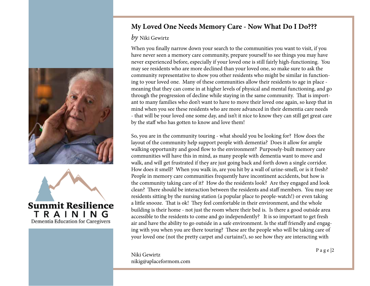



#### *by* Niki Gewirtz

When you finally narrow down your search to the communities you want to visit, if you have never seen a memory care community, prepare yourself to see things you may have never experienced before, especially if your loved one is still fairly high-functioning. You may see residents who are more declined than your loved one, so make sure to ask the community representative to show you other residents who might be similar in functioning to your loved one. Many of these communities allow their residents to age in place meaning that they can come in at higher levels of physical and mental functioning, and go through the progression of decline while staying in the same community. That is important to many families who don't want to have to move their loved one again, so keep that in mind when you see these residents who are more advanced in their dementia care needs - that will be your loved one some day, and isn't it nice to know they can still get great care by the staff who has gotten to know and love them!

So, you are in the community touring - what should you be looking for? How does the layout of the community help support people with dementia? Does it allow for ample walking opportunity and good flow to the environment? Purposely-built memory care communities will have this in mind, as many people with dementia want to move and walk, and will get frustrated if they are just going back and forth down a single corridor. How does it smell? When you walk in, are you hit by a wall of urine-smell, or is it fresh? People in memory care communities frequently have incontinent accidents, but how is the community taking care of it? How do the residents look? Are they engaged and look clean? There should be interaction between the residents and staff members. You may see residents sitting by the nursing station (a popular place to people-watch!) or even taking a little snooze. That is ok! They feel comfortable in their environment, and the whole building is their home - not just the room where their bed is. Is there a good outside area accessible to the residents to come and go independently? It is so important to get fresh air and have the ability to go outside in a safe environment. Is the staff friendly and engaging with you when you are there touring? These are the people who will be taking care of your loved one (not the pretty carpet and curtains!), so see how they are interacting with

P a g e |2 Niki Gewirtz nikig@aplaceformom.com